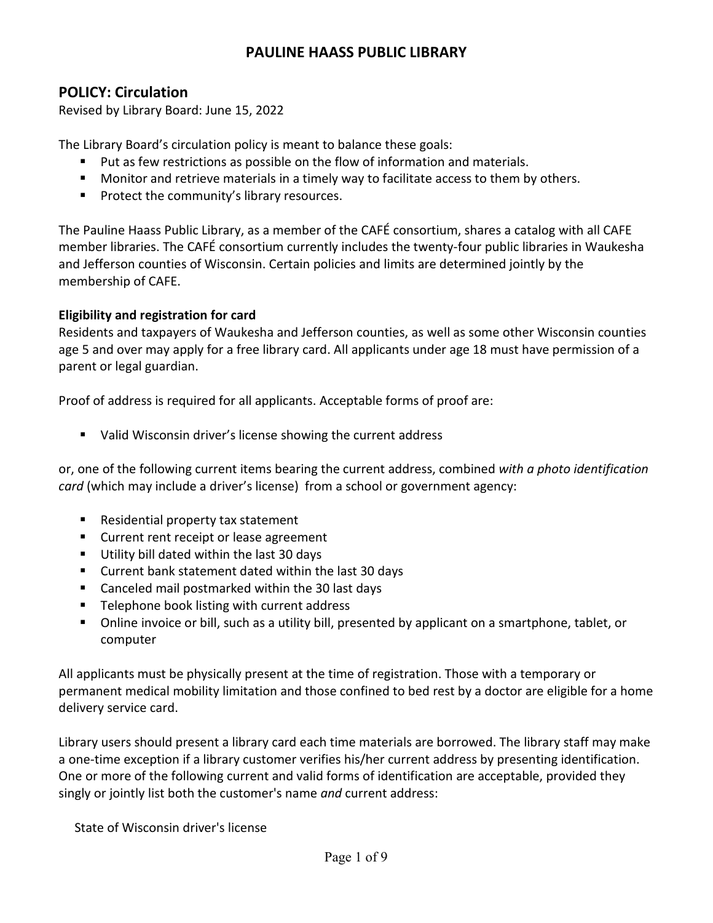# **PAULINE HAASS PUBLIC LIBRARY**

## **POLICY: Circulation**

Revised by Library Board: June 15, 2022

The Library Board's circulation policy is meant to balance these goals:

- Put as few restrictions as possible on the flow of information and materials.
- **Monitor and retrieve materials in a timely way to facilitate access to them by others.**
- **Protect the community's library resources.**

The Pauline Haass Public Library, as a member of the CAFÉ consortium, shares a catalog with all CAFE member libraries. The CAFÉ consortium currently includes the twenty-four public libraries in Waukesha and Jefferson counties of Wisconsin. Certain policies and limits are determined jointly by the membership of CAFE.

## **Eligibility and registration for card**

Residents and taxpayers of Waukesha and Jefferson counties, as well as some other Wisconsin counties age 5 and over may apply for a free library card. All applicants under age 18 must have permission of a parent or legal guardian.

Proof of address is required for all applicants. Acceptable forms of proof are:

Valid Wisconsin driver's license showing the current address

or, one of the following current items bearing the current address, combined *with a photo identification card* (which may include a driver's license) from a school or government agency:

- Residential property tax statement
- **EXECUTE:** Current rent receipt or lease agreement
- Utility bill dated within the last 30 days
- Current bank statement dated within the last 30 days
- Canceled mail postmarked within the 30 last days
- **Telephone book listing with current address**
- Online invoice or bill, such as a utility bill, presented by applicant on a smartphone, tablet, or computer

All applicants must be physically present at the time of registration. Those with a temporary or permanent medical mobility limitation and those confined to bed rest by a doctor are eligible for a home delivery service card.

Library users should present a library card each time materials are borrowed. The library staff may make a one-time exception if a library customer verifies his/her current address by presenting identification. One or more of the following current and valid forms of identification are acceptable, provided they singly or jointly list both the customer's name *and* current address:

State of Wisconsin driver's license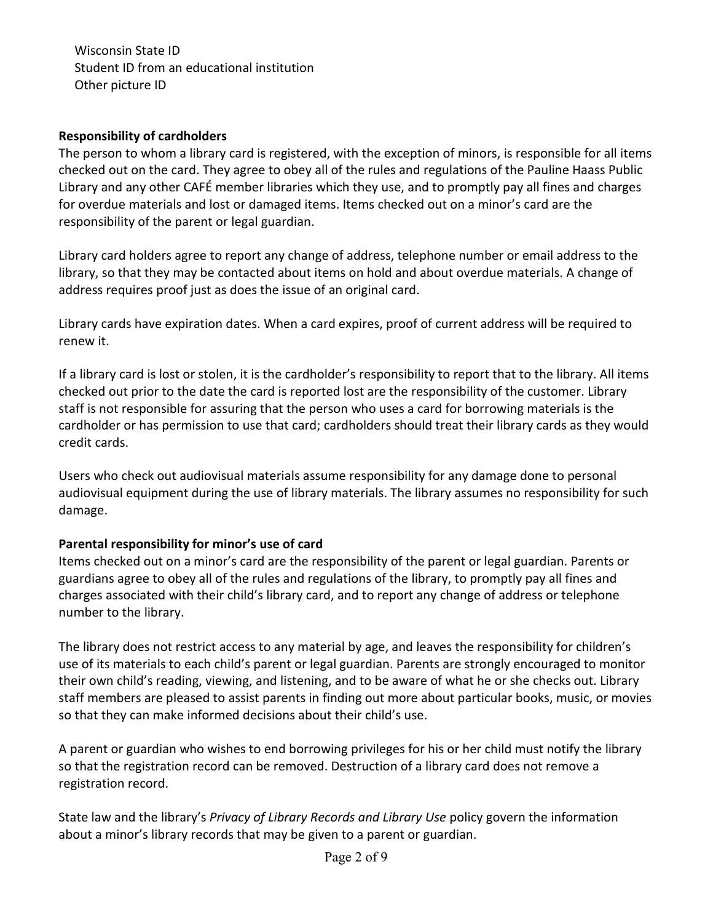Wisconsin State ID Student ID from an educational institution Other picture ID

#### **Responsibility of cardholders**

The person to whom a library card is registered, with the exception of minors, is responsible for all items checked out on the card. They agree to obey all of the rules and regulations of the Pauline Haass Public Library and any other CAFÉ member libraries which they use, and to promptly pay all fines and charges for overdue materials and lost or damaged items. Items checked out on a minor's card are the responsibility of the parent or legal guardian.

Library card holders agree to report any change of address, telephone number or email address to the library, so that they may be contacted about items on hold and about overdue materials. A change of address requires proof just as does the issue of an original card.

Library cards have expiration dates. When a card expires, proof of current address will be required to renew it.

If a library card is lost or stolen, it is the cardholder's responsibility to report that to the library. All items checked out prior to the date the card is reported lost are the responsibility of the customer. Library staff is not responsible for assuring that the person who uses a card for borrowing materials is the cardholder or has permission to use that card; cardholders should treat their library cards as they would credit cards.

Users who check out audiovisual materials assume responsibility for any damage done to personal audiovisual equipment during the use of library materials. The library assumes no responsibility for such damage.

## **Parental responsibility for minor's use of card**

Items checked out on a minor's card are the responsibility of the parent or legal guardian. Parents or guardians agree to obey all of the rules and regulations of the library, to promptly pay all fines and charges associated with their child's library card, and to report any change of address or telephone number to the library.

The library does not restrict access to any material by age, and leaves the responsibility for children's use of its materials to each child's parent or legal guardian. Parents are strongly encouraged to monitor their own child's reading, viewing, and listening, and to be aware of what he or she checks out. Library staff members are pleased to assist parents in finding out more about particular books, music, or movies so that they can make informed decisions about their child's use.

A parent or guardian who wishes to end borrowing privileges for his or her child must notify the library so that the registration record can be removed. Destruction of a library card does not remove a registration record.

State law and the library's *Privacy of Library Records and Library Use* policy govern the information about a minor's library records that may be given to a parent or guardian.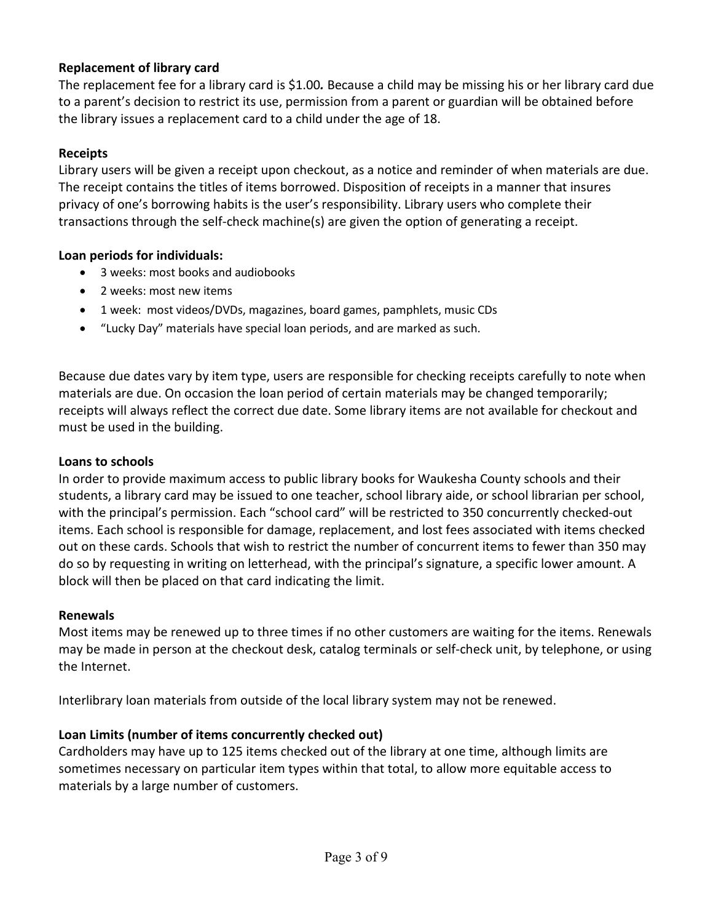## **Replacement of library card**

The replacement fee for a library card is \$1.00*.* Because a child may be missing his or her library card due to a parent's decision to restrict its use, permission from a parent or guardian will be obtained before the library issues a replacement card to a child under the age of 18.

## **Receipts**

Library users will be given a receipt upon checkout, as a notice and reminder of when materials are due. The receipt contains the titles of items borrowed. Disposition of receipts in a manner that insures privacy of one's borrowing habits is the user's responsibility. Library users who complete their transactions through the self-check machine(s) are given the option of generating a receipt.

## **Loan periods for individuals:**

- 3 weeks: most books and audiobooks
- 2 weeks: most new items
- 1 week: most videos/DVDs, magazines, board games, pamphlets, music CDs
- "Lucky Day" materials have special loan periods, and are marked as such.

Because due dates vary by item type, users are responsible for checking receipts carefully to note when materials are due. On occasion the loan period of certain materials may be changed temporarily; receipts will always reflect the correct due date. Some library items are not available for checkout and must be used in the building.

## **Loans to schools**

In order to provide maximum access to public library books for Waukesha County schools and their students, a library card may be issued to one teacher, school library aide, or school librarian per school, with the principal's permission. Each "school card" will be restricted to 350 concurrently checked-out items. Each school is responsible for damage, replacement, and lost fees associated with items checked out on these cards. Schools that wish to restrict the number of concurrent items to fewer than 350 may do so by requesting in writing on letterhead, with the principal's signature, a specific lower amount. A block will then be placed on that card indicating the limit.

## **Renewals**

Most items may be renewed up to three times if no other customers are waiting for the items. Renewals may be made in person at the checkout desk, catalog terminals or self-check unit, by telephone, or using the Internet.

Interlibrary loan materials from outside of the local library system may not be renewed.

## **Loan Limits (number of items concurrently checked out)**

Cardholders may have up to 125 items checked out of the library at one time, although limits are sometimes necessary on particular item types within that total, to allow more equitable access to materials by a large number of customers.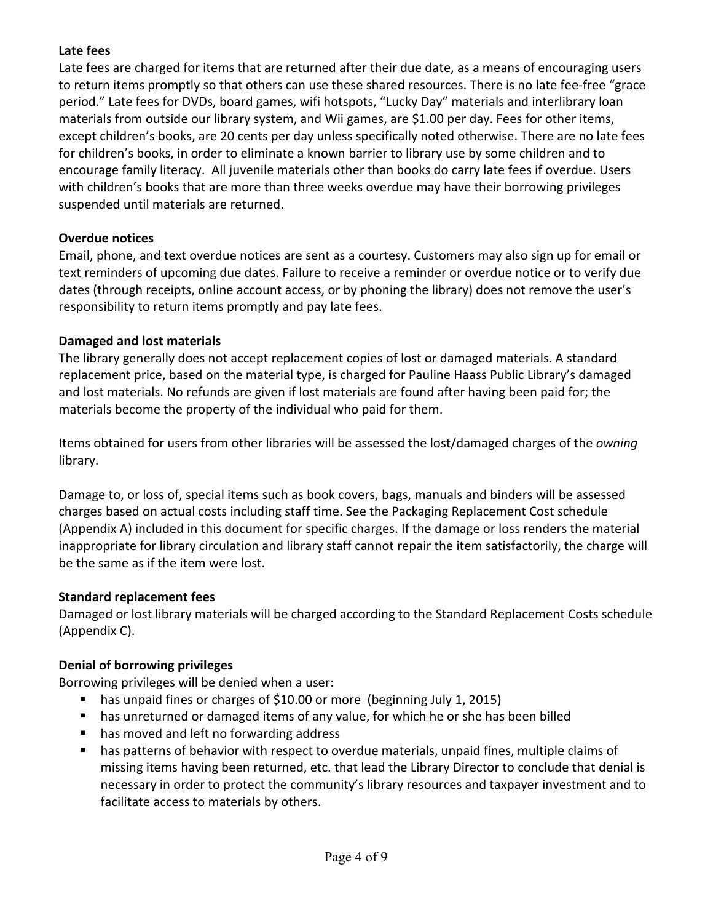## **Late fees**

Late fees are charged for items that are returned after their due date, as a means of encouraging users to return items promptly so that others can use these shared resources. There is no late fee-free "grace period." Late fees for DVDs, board games, wifi hotspots, "Lucky Day" materials and interlibrary loan materials from outside our library system, and Wii games, are \$1.00 per day. Fees for other items, except children's books, are 20 cents per day unless specifically noted otherwise. There are no late fees for children's books, in order to eliminate a known barrier to library use by some children and to encourage family literacy. All juvenile materials other than books do carry late fees if overdue. Users with children's books that are more than three weeks overdue may have their borrowing privileges suspended until materials are returned.

## **Overdue notices**

Email, phone, and text overdue notices are sent as a courtesy. Customers may also sign up for email or text reminders of upcoming due dates. Failure to receive a reminder or overdue notice or to verify due dates (through receipts, online account access, or by phoning the library) does not remove the user's responsibility to return items promptly and pay late fees.

## **Damaged and lost materials**

The library generally does not accept replacement copies of lost or damaged materials. A standard replacement price, based on the material type, is charged for Pauline Haass Public Library's damaged and lost materials. No refunds are given if lost materials are found after having been paid for; the materials become the property of the individual who paid for them.

Items obtained for users from other libraries will be assessed the lost/damaged charges of the *owning*  library.

Damage to, or loss of, special items such as book covers, bags, manuals and binders will be assessed charges based on actual costs including staff time. See the Packaging Replacement Cost schedule (Appendix A) included in this document for specific charges. If the damage or loss renders the material inappropriate for library circulation and library staff cannot repair the item satisfactorily, the charge will be the same as if the item were lost.

## **Standard replacement fees**

Damaged or lost library materials will be charged according to the Standard Replacement Costs schedule (Appendix C).

## **Denial of borrowing privileges**

Borrowing privileges will be denied when a user:

- has unpaid fines or charges of \$10.00 or more (beginning July 1, 2015)
- has unreturned or damaged items of any value, for which he or she has been billed
- has moved and left no forwarding address
- has patterns of behavior with respect to overdue materials, unpaid fines, multiple claims of missing items having been returned, etc. that lead the Library Director to conclude that denial is necessary in order to protect the community's library resources and taxpayer investment and to facilitate access to materials by others.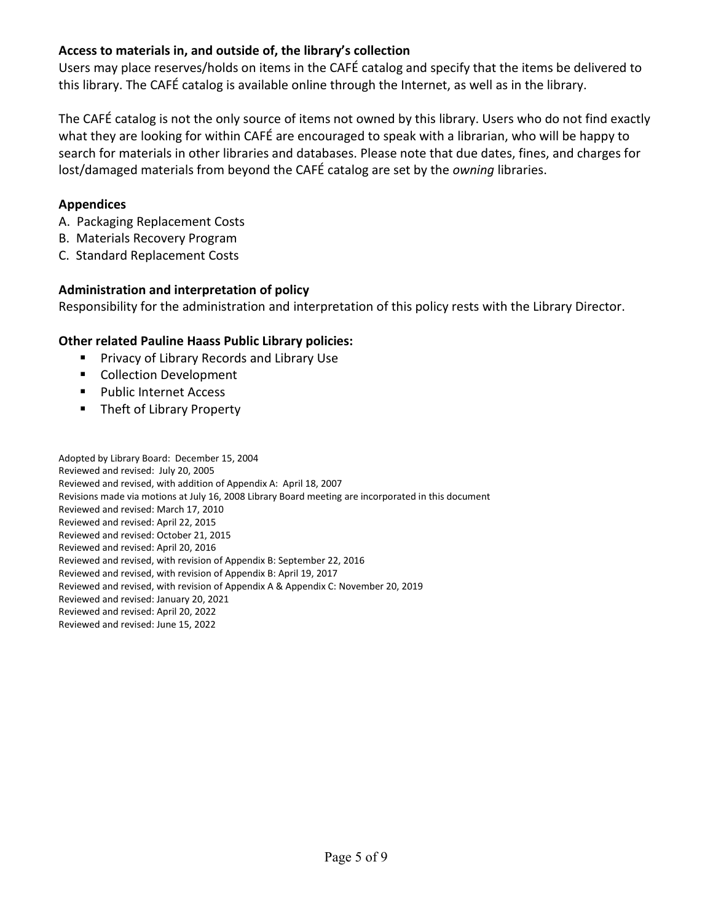## **Access to materials in, and outside of, the library's collection**

Users may place reserves/holds on items in the CAFÉ catalog and specify that the items be delivered to this library. The CAFÉ catalog is available online through the Internet, as well as in the library.

The CAFÉ catalog is not the only source of items not owned by this library. Users who do not find exactly what they are looking for within CAFÉ are encouraged to speak with a librarian, who will be happy to search for materials in other libraries and databases. Please note that due dates, fines, and charges for lost/damaged materials from beyond the CAFÉ catalog are set by the *owning* libraries.

#### **Appendices**

- A. Packaging Replacement Costs
- B. Materials Recovery Program
- C. Standard Replacement Costs

#### **Administration and interpretation of policy**

Responsibility for the administration and interpretation of this policy rests with the Library Director.

#### **Other related Pauline Haass Public Library policies:**

- Privacy of Library Records and Library Use
- **Collection Development**
- Public Internet Access
- Theft of Library Property

Adopted by Library Board: December 15, 2004 Reviewed and revised: July 20, 2005 Reviewed and revised, with addition of Appendix A: April 18, 2007 Revisions made via motions at July 16, 2008 Library Board meeting are incorporated in this document Reviewed and revised: March 17, 2010 Reviewed and revised: April 22, 2015 Reviewed and revised: October 21, 2015 Reviewed and revised: April 20, 2016 Reviewed and revised, with revision of Appendix B: September 22, 2016 Reviewed and revised, with revision of Appendix B: April 19, 2017 Reviewed and revised, with revision of Appendix A & Appendix C: November 20, 2019 Reviewed and revised: January 20, 2021 Reviewed and revised: April 20, 2022 Reviewed and revised: June 15, 2022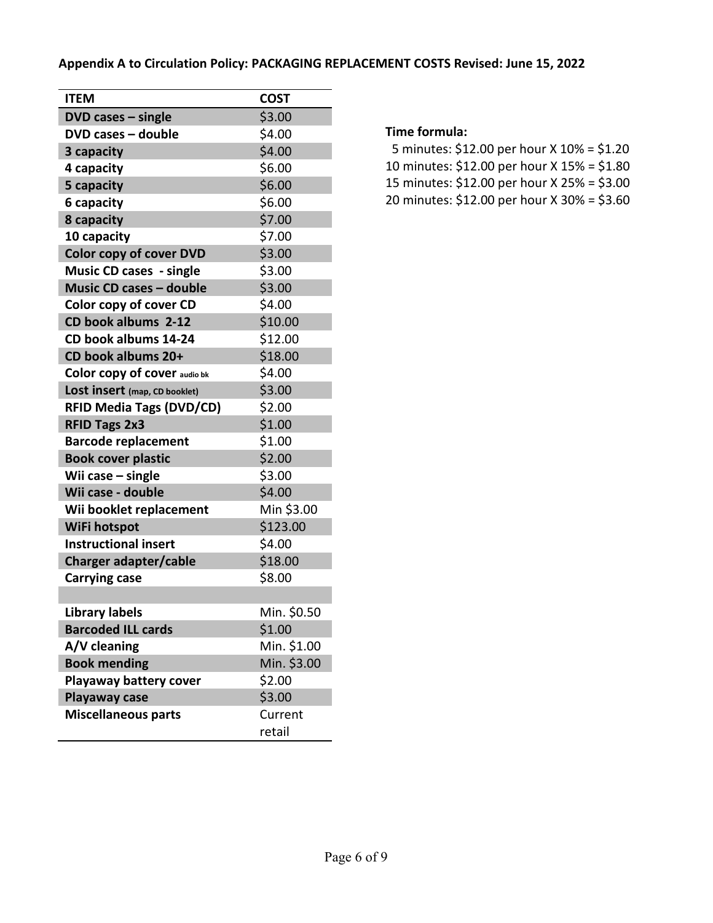| <b>ITEM</b>                     | <b>COST</b> |
|---------------------------------|-------------|
| $DVD$ cases $-$ single          | \$3.00      |
| DVD cases - double              | \$4.00      |
| 3 capacity                      | \$4.00      |
| 4 capacity                      | \$6.00      |
| 5 capacity                      | \$6.00      |
| 6 capacity                      | \$6.00      |
| 8 capacity                      | \$7.00      |
| 10 capacity                     | \$7.00      |
| <b>Color copy of cover DVD</b>  | \$3.00      |
| <b>Music CD cases - single</b>  | \$3.00      |
| <b>Music CD cases - double</b>  | \$3.00      |
| Color copy of cover CD          | \$4.00      |
| CD book albums 2-12             | \$10.00     |
| CD book albums 14-24            | \$12.00     |
| CD book albums 20+              | \$18.00     |
| Color copy of cover audio bk    | \$4.00      |
| Lost insert (map, CD booklet)   | \$3.00      |
| <b>RFID Media Tags (DVD/CD)</b> | \$2.00      |
| <b>RFID Tags 2x3</b>            | \$1.00      |
| <b>Barcode replacement</b>      | \$1.00      |
| <b>Book cover plastic</b>       | \$2.00      |
| Wii case $-$ single             | \$3.00      |
| Wii case - double               | \$4.00      |
| Wii booklet replacement         | Min \$3.00  |
| WiFi hotspot                    | \$123.00    |
| <b>Instructional insert</b>     | \$4.00      |
| Charger adapter/cable           | \$18.00     |
| <b>Carrying case</b>            | \$8.00      |
|                                 |             |
| <b>Library labels</b>           | Min. \$0.50 |
| <b>Barcoded ILL cards</b>       | \$1.00      |
| A/V cleaning                    | Min. \$1.00 |
| <b>Book mending</b>             | Min. \$3.00 |
| Playaway battery cover          | \$2.00      |
| Playaway case                   | \$3.00      |
| <b>Miscellaneous parts</b>      | Current     |
|                                 | retail      |

#### **Time formula:**

- 5 minutes: \$12.00 per hour X 10% = \$1.20
- 10 minutes: \$12.00 per hour X 15% = \$1.80
- 15 minutes: \$12.00 per hour X 25% = \$3.00
- 20 minutes: \$12.00 per hour X 30% = \$3.60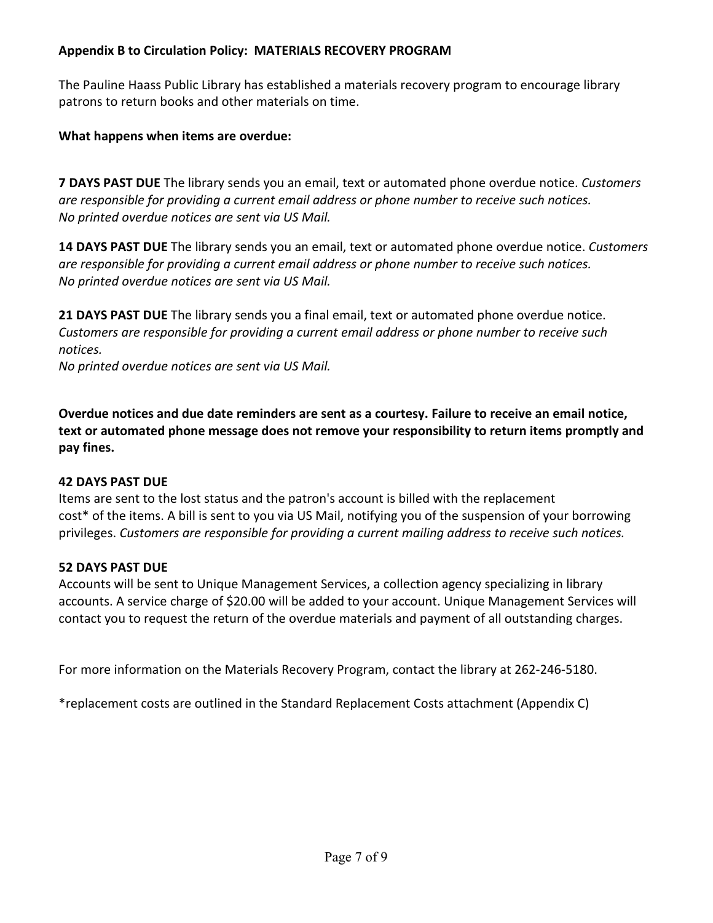## **Appendix B to Circulation Policy: MATERIALS RECOVERY PROGRAM**

The Pauline Haass Public Library has established a materials recovery program to encourage library patrons to return books and other materials on time.

## **What happens when items are overdue:**

**7 DAYS PAST DUE** The library sends you an email, text or automated phone overdue notice. *Customers are responsible for providing a current email address or phone number to receive such notices. No printed overdue notices are sent via US Mail.*

**14 DAYS PAST DUE** The library sends you an email, text or automated phone overdue notice. *Customers are responsible for providing a current email address or phone number to receive such notices. No printed overdue notices are sent via US Mail.*

**21 DAYS PAST DUE** The library sends you a final email, text or automated phone overdue notice. *Customers are responsible for providing a current email address or phone number to receive such notices.* 

*No printed overdue notices are sent via US Mail.*

**Overdue notices and due date reminders are sent as a courtesy. Failure to receive an email notice, text or automated phone message does not remove your responsibility to return items promptly and pay fines.**

## **42 DAYS PAST DUE**

Items are sent to the lost status and the patron's account is billed with the replacement cost\* of the items. A bill is sent to you via US Mail, notifying you of the suspension of your borrowing privileges. *Customers are responsible for providing a current mailing address to receive such notices.*

## **52 DAYS PAST DUE**

Accounts will be sent to Unique Management Services, a collection agency specializing in library accounts. A service charge of \$20.00 will be added to your account. Unique Management Services will contact you to request the return of the overdue materials and payment of all outstanding charges.

For more information on the Materials Recovery Program, contact the library at 262-246-5180.

\*replacement costs are outlined in the Standard Replacement Costs attachment (Appendix C)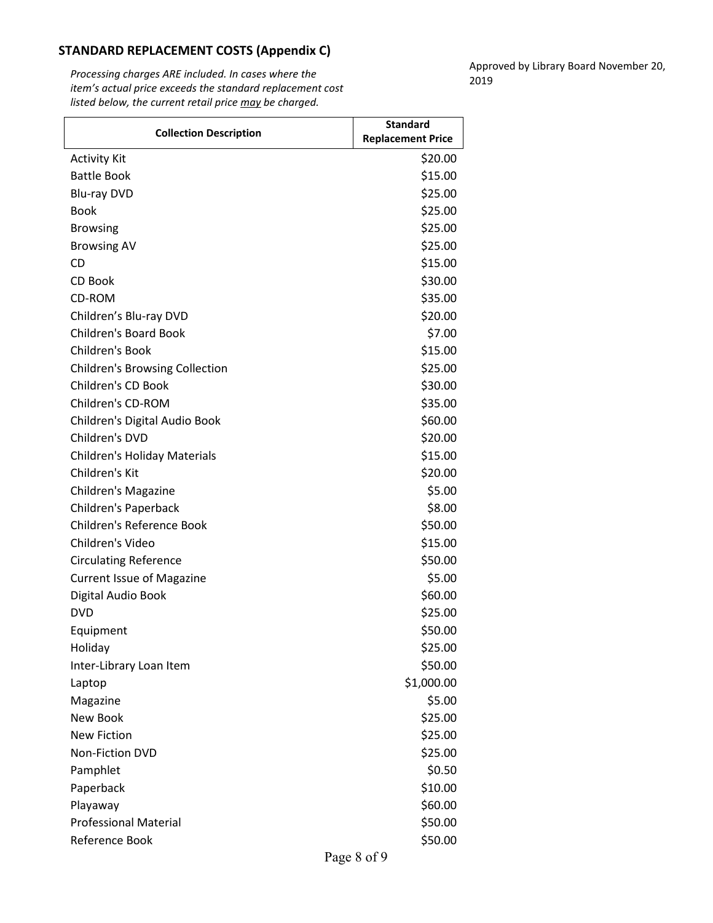#### **STANDARD REPLACEMENT COSTS (Appendix C)**

*Processing charges ARE included. In cases where the item's actual price exceeds the standard replacement cost listed below, the current retail price may be charged.*

Approved by Library Board November 20, 2019

| <b>Collection Description</b>         | <b>Standard</b>          |
|---------------------------------------|--------------------------|
|                                       | <b>Replacement Price</b> |
| <b>Activity Kit</b>                   | \$20.00                  |
| <b>Battle Book</b>                    | \$15.00                  |
| <b>Blu-ray DVD</b>                    | \$25.00                  |
| <b>Book</b>                           | \$25.00                  |
| <b>Browsing</b>                       | \$25.00                  |
| <b>Browsing AV</b>                    | \$25.00                  |
| CD                                    | \$15.00                  |
| CD Book                               | \$30.00                  |
| CD-ROM                                | \$35.00                  |
| Children's Blu-ray DVD                | \$20.00                  |
| <b>Children's Board Book</b>          | \$7.00                   |
| Children's Book                       | \$15.00                  |
| <b>Children's Browsing Collection</b> | \$25.00                  |
| Children's CD Book                    | \$30.00                  |
| Children's CD-ROM                     | \$35.00                  |
| Children's Digital Audio Book         | \$60.00                  |
| Children's DVD                        | \$20.00                  |
| <b>Children's Holiday Materials</b>   | \$15.00                  |
| Children's Kit                        | \$20.00                  |
| <b>Children's Magazine</b>            | \$5.00                   |
| Children's Paperback                  | \$8.00                   |
| Children's Reference Book             | \$50.00                  |
| Children's Video                      | \$15.00                  |
| <b>Circulating Reference</b>          | \$50.00                  |
| <b>Current Issue of Magazine</b>      | \$5.00                   |
| Digital Audio Book                    | \$60.00                  |
| <b>DVD</b>                            | \$25.00                  |
| Equipment                             | \$50.00                  |
| Holiday                               | \$25.00                  |
| Inter-Library Loan Item               | \$50.00                  |
| Laptop                                | \$1,000.00               |
| Magazine                              | \$5.00                   |
| New Book                              | \$25.00                  |
| <b>New Fiction</b>                    | \$25.00                  |
| <b>Non-Fiction DVD</b>                | \$25.00                  |
| Pamphlet                              | \$0.50                   |
| Paperback                             | \$10.00                  |
| Playaway                              | \$60.00                  |
| <b>Professional Material</b>          | \$50.00                  |
| Reference Book                        | \$50.00                  |